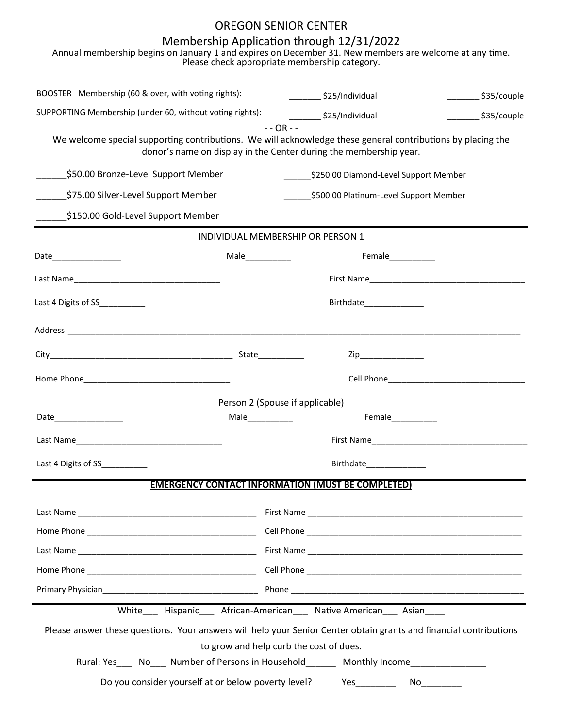## OREGON SENIOR CENTER

## Membership Application through 12/31/2022

|                                                          |                  | Annual membership begins on January 1 and expires on December 31. New members are welcome at any time.<br>Please check appropriate membership category.                                          |                                    |
|----------------------------------------------------------|------------------|--------------------------------------------------------------------------------------------------------------------------------------------------------------------------------------------------|------------------------------------|
| BOOSTER Membership (60 & over, with voting rights):      |                  | $\frac{1}{2}$ \$25/Individual                                                                                                                                                                    | $\frac{\sqrt{35}}{20}$ \$35/couple |
| SUPPORTING Membership (under 60, without voting rights): |                  | ____________ \$25/Individual                                                                                                                                                                     | _________ \$35/couple              |
|                                                          |                  | $- - OR - -$<br>We welcome special supporting contributions. We will acknowledge these general contributions by placing the<br>donor's name on display in the Center during the membership year. |                                    |
| \$50.00 Bronze-Level Support Member                      |                  | ____________\$250.00 Diamond-Level Support Member                                                                                                                                                |                                    |
| \$75.00 Silver-Level Support Member                      |                  | __________\$500.00 Platinum-Level Support Member                                                                                                                                                 |                                    |
| \$150.00 Gold-Level Support Member                       |                  |                                                                                                                                                                                                  |                                    |
|                                                          |                  | INDIVIDUAL MEMBERSHIP OR PERSON 1                                                                                                                                                                |                                    |
| Date____________________                                 |                  | Female___________                                                                                                                                                                                |                                    |
|                                                          |                  |                                                                                                                                                                                                  |                                    |
| Last 4 Digits of SS__________                            |                  | Birthdate_______________                                                                                                                                                                         |                                    |
|                                                          |                  |                                                                                                                                                                                                  |                                    |
|                                                          |                  | Zip_______________                                                                                                                                                                               |                                    |
|                                                          |                  |                                                                                                                                                                                                  |                                    |
|                                                          |                  | Person 2 (Spouse if applicable)                                                                                                                                                                  |                                    |
| Date_______________                                      | Male____________ | Female___________                                                                                                                                                                                |                                    |
|                                                          |                  |                                                                                                                                                                                                  |                                    |
| Last 4 Digits of SS                                      |                  | Birthdate Paramana Birthdate                                                                                                                                                                     |                                    |
|                                                          |                  | <b>EMERGENCY CONTACT INFORMATION (MUST BE COMPLETED)</b>                                                                                                                                         |                                    |
|                                                          |                  |                                                                                                                                                                                                  |                                    |
|                                                          |                  |                                                                                                                                                                                                  |                                    |
|                                                          |                  |                                                                                                                                                                                                  |                                    |
|                                                          |                  |                                                                                                                                                                                                  |                                    |
|                                                          |                  |                                                                                                                                                                                                  |                                    |
|                                                          |                  | White___ Hispanic___ African-American___ Native American___ Asian____                                                                                                                            |                                    |
|                                                          |                  | Please answer these questions. Your answers will help your Senior Center obtain grants and financial contributions<br>to grow and help curb the cost of dues.                                    |                                    |
|                                                          |                  | Rural: Yes _____ No_____ Number of Persons in Household_________ Monthly Income____________________                                                                                              |                                    |
| Do you consider yourself at or below poverty level?      |                  |                                                                                                                                                                                                  | $No$ ________                      |